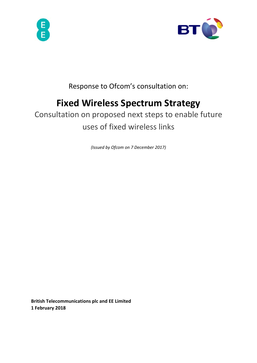



Response to Ofcom's consultation on:

# **Fixed Wireless Spectrum Strategy**

Consultation on proposed next steps to enable future uses of fixed wireless links

*(Issued by Ofcom on 7 December 2017)* 

**British Telecommunications plc and EE Limited 1 February 2018**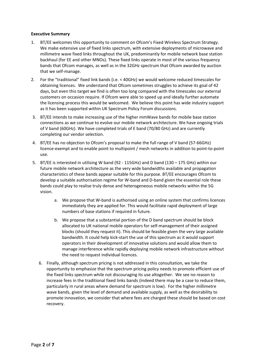## **Executive Summary**

- 1. BT/EE welcomes this opportunity to comment on Ofcom's Fixed Wireless Spectrum Strategy. We make extensive use of fixed links spectrum, with extensive deployments of microwave and millimetre wave fixed links throughout the UK, predominantly for mobile network base station backhaul (for EE and other MNOs). These fixed links operate in most of the various frequency bands that Ofcom manages, as well as in the 32GHz spectrum that Ofcom awarded by auction that we self-manage.
- 2. For the "traditional" fixed link bands (i.e. < 40GHz) we would welcome reduced timescales for obtaining licences. We understand that Ofcom sometimes struggles to achieve its goal of 42 days, but even this target we find is often too long compared with the timescales our external customers on occasion require. If Ofcom were able to speed up and ideally further automate the licensing process this would be welcomed. We believe this point has wide industry support as it has been supported within UK Spectrum Policy Forum discussions.
- 3. BT/EE intends to make increasing use of the higher mmWave bands for mobile base station connections as we continue to evolve our mobile network architecture. We have ongoing trials of V band (60GHz). We have completed trials of E band (70/80 GHz) and are currently completing our vendor selection.
- 4. BT/EE has no objection to Ofcom's proposal to make the full range of V band (57-66GHz) licence-exempt and to enable point to multipoint / mesh networks in addition to point-to-point use.
- 5. BT/EE is interested in utilising W band (92 115GHz) and D band (130 175 GHz) within our future mobile network architecture as the very wide bandwidths available and propagation characteristics of these bands appear suitable for this purpose. BT/EE encourages Ofcom to develop a suitable authorisation regime for W-band and D-band given the essential role these bands could play to realise truly dense and heterogeneous mobile networks within the 5G vision.
	- a. We propose that W-band is authorised using an online system that confirms licences immediately they are applied for. This would facilitate rapid deployment of large numbers of base stations if required in future.
	- b. We propose that a substantial portion of the D band spectrum should be block allocated to UK national mobile operators for self-management of their assigned blocks (should they request it). This should be feasible given the very large available bandwidth. It could help kick-start the use of this spectrum as it would support operators in their development of innovative solutions and would allow them to manage interference while rapidly deploying mobile network infrastructure without the need to request individual licences.
	- 6. Finally, although spectrum pricing is not addressed in this consultation, we take the opportunity to emphasize that the spectrum pricing policy needs to promote efficient use of the fixed links spectrum while not discouraging its use altogether. We see no reason to increase fees in the traditional fixed links bands (indeed there may be a case to reduce them, particularly in rural areas where demand for spectrum is low). For the higher millimetre wave bands, given the level of demand and available supply, as well as the desirability to promote innovation, we consider that where fees are charged these should be based on cost recovery.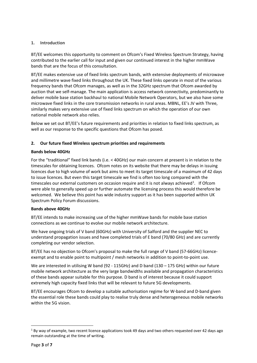# **1. Introduction**

BT/EE welcomes this opportunity to comment on Ofcom's Fixed Wireless Spectrum Strategy, having contributed to the earlier call for input and given our continued interest in the higher mmWave bands that are the focus of this consultation.

BT/EE makes extensive use of fixed links spectrum bands, with extensive deployments of microwave and millimetre wave fixed links throughout the UK. These fixed links operate in most of the various frequency bands that Ofcom manages, as well as in the 32GHz spectrum that Ofcom awarded by auction that we self-manage. The main application is access network connectivity, predominantly to deliver mobile base station backhaul to national Mobile Network Operators, but we also have some microwave fixed links in the core transmission networks in rural areas. MBNL, EE's JV with Three, similarly makes very extensive use of fixed links spectrum on which the operation of our own national mobile network also relies.

Below we set out BT/EE's future requirements and priorities in relation to fixed links spectrum, as well as our response to the specific questions that Ofcom has posed.

# **2. Our future fixed Wireless spectrum priorities and requirements**

# **Bands below 40GHz**

For the "traditional" fixed link bands (i.e. < 40GHz) our main concern at present is in relation to the timescales for obtaining licences. Ofcom notes on its website that there may be delays in issuing licences due to high volume of work but aims to meet its target timescale of a maximum of 42 days to issue licences. But even this target timescale we find is often too long compared with the timescales our external customers on occasion require and it is not always achieved<sup>[1](#page-2-0)</sup>. If Ofcom were able to generally speed up or further automate the licensing process this would therefore be welcomed. We believe this point has wide industry support as it has been supported within UK Spectrum Policy Forum discussions.

## **Bands above 40GHz**

BT/EE intends to make increasing use of the higher mmWave bands for mobile base station connections as we continue to evolve our mobile network architecture.

We have ongoing trials of V band (60GHz) with University of Salford and the supplier NEC to understand propagation issues and have completed trials of E band (70/80 GHz) and are currently completing our vendor selection.

BT/EE has no objection to Ofcom's proposal to make the full range of V band (57-66GHz) licenceexempt and to enable point to multipoint / mesh networks in addition to point-to-point use.

We are interested in utilising W band (92 - 115GHz) and D band (130 – 175 GHz) within our future mobile network architecture as the very large bandwidths available and propagation characteristics of these bands appear suitable for this purpose. D band is of interest because it could support extremely high capacity fixed links that will be relevant to future 5G developments.

BT/EE encourages Ofcom to develop a suitable authorisation regime for W-band and D-band given the essential role these bands could play to realise truly dense and heterogeneous mobile networks within the 5G vision.

<span id="page-2-0"></span> $1$  By way of example, two recent licence applications took 49 days and two others requested over 42 days ago remain outstanding at the time of writing.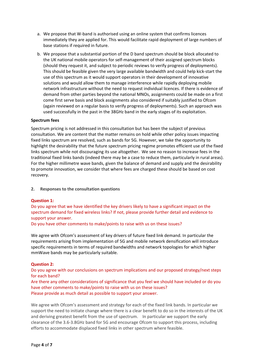- a. We propose that W-band is authorised using an online system that confirms licences immediately they are applied for. This would facilitate rapid deployment of large numbers of base stations if required in future.
- b. We propose that a substantial portion of the D band spectrum should be block allocated to the UK national mobile operators for self-management of their assigned spectrum blocks (should they request it, and subject to periodic reviews to verify progress of deployments). This should be feasible given the very large available bandwidth and could help kick-start the use of this spectrum as it would support operators in their development of innovative solutions and would allow them to manage interference while rapidly deploying mobile network infrastructure without the need to request individual licences. If there is evidence of demand from other parties beyond the national MNOs, assignments could be made on a first come first serve basis and block assignments also considered if suitably justified to Ofcom (again reviewed on a regular basis to verify progress of deployments). Such an approach was used successfully in the past in the 38GHz band in the early stages of its exploitation.

## **Spectrum fees**

Spectrum pricing is not addressed in this consultation but has been the subject of previous consultation. We are content that the matter remains on hold while other policy issues impacting fixed links spectrum are resolved, such as bands for 5G. However, we take the opportunity to highlight the desirability that the future spectrum pricing regime promotes efficient use of the fixed links spectrum while not discouraging its use altogether. We see no reason to increase fees in the traditional fixed links bands (indeed there may be a case to reduce them, particularly in rural areas). For the higher millimetre wave bands, given the balance of demand and supply and the desirability to promote innovation, we consider that where fees are charged these should be based on cost recovery.

**2. Responses to the consultation questions**

## **Question 1:**

Do you agree that we have identified the key drivers likely to have a significant impact on the spectrum demand for fixed wireless links? If not, please provide further detail and evidence to support your answer.

Do you have other comments to make/points to raise with us on these issues?

We agree with Ofcom's assessment of key drivers of future fixed link demand. In particular the requirements arising from implementation of 5G and mobile network densification will introduce specific requirements in terms of required bandwidths and network topologies for which higher mmWave bands may be particularly suitable.

## **Question 2:**

Do you agree with our conclusions on spectrum implications and our proposed strategy/next steps for each band?

Are there any other considerations of significance that you feel we should have included or do you have other comments to make/points to raise with us on these issues? Please provide as much detail as possible to support your answer.

We agree with Ofcom's assessment and strategy for each of the fixed link bands. In particular we support the need to initiate change where there is a clear benefit to do so in the interests of the UK and deriving greatest benefit from the use of spectrum. In particular we support the early clearance of the 3.6-3.8GHz band for 5G and encourage Ofcom to support this process, including efforts to accommodate displaced fixed links in other spectrum where feasible.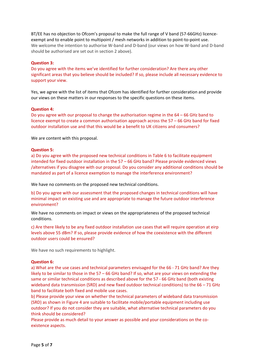BT/EE has no objection to Ofcom's proposal to make the full range of V band (57-66GHz) licenceexempt and to enable point to multipoint / mesh networks in addition to point-to-point use. We welcome the intention to authorise W-band and D-band (our views on how W-band and D-band should be authorised are set out in section 2 above).

### **Question 3:**

Do you agree with the items we've identified for further consideration? Are there any other significant areas that you believe should be included? If so, please include all necessary evidence to support your view.

Yes, we agree with the list of items that Ofcom has identified for further consideration and provide our views on these matters in our responses to the specific questions on these items.

#### **Question 4:**

Do you agree with our proposal to change the authorisation regime in the 64 – 66 GHz band to licence exempt to create a common authorisation approach across the 57 – 66 GHz band for fixed outdoor installation use and that this would be a benefit to UK citizens and consumers?

We are content with this proposal.

#### **Question 5:**

a) Do you agree with the proposed new technical conditions in Table 6 to facilitate equipment intended for fixed outdoor installation in the 57 – 66 GHz band? Please provide evidenced views /alternatives if you disagree with our proposal. Do you consider any additional conditions should be mandated as part of a licence exemption to manage the interference environment?

We have no comments on the proposed new technical conditions.

b) Do you agree with our assessment that the proposed changes in technical conditions will have minimal impact on existing use and are appropriate to manage the future outdoor interference environment?

We have no comments on impact or views on the appropriateness of the proposed technical conditions.

c) Are there likely to be any fixed outdoor installation use cases that will require operation at eirp levels above 55 dBm? If so, please provide evidence of how the coexistence with the different outdoor users could be ensured?

We have no such requirements to highlight.

#### **Question 6:**

a) What are the use cases and technical parameters envisaged for the 66 - 71 GHz band? Are they likely to be similar to those in the 57 – 66 GHz band? If so, what are your views on extending the same or similar technical conditions as described above for the 57 - 66 GHz band (both existing wideband data transmission (SRD) and new fixed outdoor technical conditions) to the 66 – 71 GHz band to facilitate both fixed and mobile use cases.

b) Please provide your view on whether the technical parameters of wideband data transmission (SRD) as shown in Figure 4 are suitable to facilitate mobile/portable equipment including use outdoor? If you do not consider they are suitable, what alternative technical parameters do you think should be considered?

Please provide as much detail to your answer as possible and your considerations on the coexistence aspects.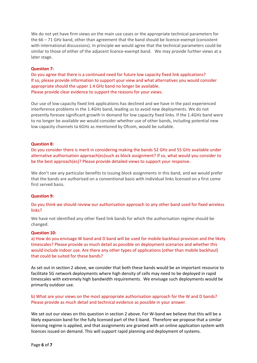We do not yet have firm views on the main use cases or the appropriate technical parameters for the 66 – 71 GHz band, other than agreement that the band should be licence-exempt (consistent with international discussions). In principle we would agree that the technical parameters could be similar to those of either of the adjacent licence-exempt band. We may provide further views at a later stage.

#### **Question 7:**

Do you agree that there is a continued need for future low capacity fixed link applications? If so, please provide information to support your view and what alternatives you would consider appropriate should the upper 1.4 GHz band no longer be available. Please provide clear evidence to support the reasons for your views.

Our use of low capacity fixed link applications has declined and we have in the past experienced interference problems in the 1.4GHz band, leading us to avoid new deployments. We do not presently foresee significant growth in demand for low capacity fixed links. If the 1.4GHz band were to no longer be available we would consider whether use of other bands, including potential new low capacity channels ta 6GHz as mentioned by Ofcom, would be suitable.

#### **Question 8:**

Do you consider there is merit in considering making the bands 52 GHz and 55 GHz available under alternative authorisation approach(es)such as block assignment? If so, what would you consider to be the best approach(es)? Please provide detailed views to support your response.

We don't see any particular benefits to issuing block assignments in this band, and we would prefer that the bands are authorised on a conventional basis with individual links licensed on a first come first served basis.

#### **Question 9:**

Do you think we should review our authorisation approach to any other band used for fixed wireless links?

We have not identified any other fixed link bands for which the authorisation regime should be changed.

#### **Question 10:**

a) How do you envisage W band and D band will be used for mobile backhaul provision and the likely timescales? Please provide as much detail as possible on deployment scenarios and whether this would include indoor use. Are there any other types of applications (other than mobile backhaul) that could be suited for these bands?

As set out in section 2 above, we consider that both these bands would be an important resource to facilitate 5G network deployments where high density of cells may need to be deployed in rapid timescales with extremely high bandwidth requirements. We envisage such deployments would be primarily outdoor use.

b) What are your views on the most appropriate authorisation approach for the W and D bands? Please provide as much detail and technical evidence as possible in your answer.

We set out our views on this question in section 2 above. For W-band we believe that this will be a likely expansion band for the fully licensed part of the E-band. Therefore we propose that a similar licensing regime is applied, and that assignments are granted with an online application system with licences issued on demand. This will support rapid planning and deployment of systems.